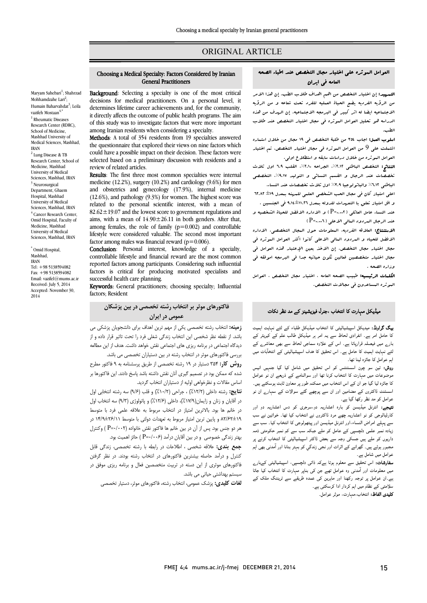# ORIGINAL ARTICLE

#### Choosing a Medical Specialty: Factors Considered by Iranian General Practitioners

Ī  $\overline{a}$ 

Background: Selecting a specialty is one of the most critical **DECISIONING:** SCREWING a specially is one of the most critical decisions for medical practitioners. On a personal level, it determines lifetime career achievements and, for the community, it directly affects the outcome of public health programs. The aim among Iranian residents when considering a specialty. of this study was to investigate factors that were more important

 Methods: A total of 354 residents from 19 specialties answered could have a possible impact on their decision. These factors were selected based on a preliminary discussion with residents and a the questionnaire that explored their views on nine factors which review of related articles.

review of related articles.<br>**Results**: The first three most common specialties were internal medicine (12.2%), surgery (10.2%) and cardiology (9.6%) for men and obstetrics and gynecology (17.9%), internal medicine related to the personal scientific interest, with a mean of  $82.62 \pm 19.07$  and the lowest score to government regulations and ams, with a mean of  $14.90 \pm 20.11$  in both genders. After that, among females, the role of family ( $p=0.002$ ) and controllable lifestyle were considered valuable. The second most important factor among males was financial reward  $(p=0.006)$ . (12.6%), and pathology (9.3%) for women. The highest score was aims, with a mean of  $14.90 \pm 26.11$  in both genders. After that,

controllable lifestyle and financial reward are the most common reported factors among participants. Considering such influential factors is critical for producing motivated specialists and<br>execeeful boalth-care-planning Conclusion: Personal interest, knowledge of a specialty, successful health care planning.

Keywords: General practitioners; choosing specialty; Influential factors; Resident

 فاکتورهاي موثر بر انتخاب رشته تخصصی در بین پزشکان عمومی در ایران

 زمینه: انتخاب رشته تخصصی یکی از مهم ترین اهداف براي دانشجویان پزشکی می باشد. از نقطه نظر شخصی این انتخاب زندگی شغلی فرد را تحت تاثیر قرار داده و از دیدگاه اجتماعی در برنامه ریزي هاي اجتماعی نقش خواهد داشت. هدف از این مطالعه بررسی فاکتورهای موثر در انتخاب رشته در بین دستیاران تخصصی می باشد.<br>.

**روس حز**د ۱۵۰ دستیار در ۱۰ رسته تخصصی از طریق پرسستاهه به ۲ قا تورها بر<br>شده که ممکن بود در تصمیم گیری آنان نقش داشته باشد پاسخ دادند. این فاکتورها بر اساس مقالات و نظرخواهی اولیه از دستیاران انتخاب گردید. روش کار: 354 دستیار در 19 رشته تخصصی از طریق پرسشنامه به 9 فاکتور مطرح

 نتایج: رشته داخلی (%12/2) ، جراحی (%10/2) و قلب (9/6) سه رشته انتخابی اول در آقایان و زنان و زایمان(%17/9)، داخلی (%12/6) و پاتولوژي (9/3) سه انتخاب اول در خانم ها بود. بالاترین امتیاز در انتخاب مربوط به علاقه علمی فرد با متوسط 82/62±19 و پایین ترین امتیاز مربوط به تعهدات دولتی با متوسط 14/9±26/11 در هر دو جنس بود. پس از آن در بین خانم ها فاکتور نقش خانواده (0/002=P ( وکنترل

بهتر زندگی خصوصی و در بین آقایان درآمد (P=۰/۰۰۶ ) حائز اهمیت بود.<br>مسیحیت استفاده کنترل و درآمد حاصله بیشترین فاکتورهاي در انتخاب رشته بودند. در نظر گرفتن فاکتورهاي موثري از این دسته در تربیت متخصصین فعال و برنامه ریزي موفق در سیستم بهداشتی حیاتی می باشد. جمع بندي: علاقه شخصی ، اطلاعات در رابطه با رشته تخصصی، زندگی قابل

لغات کلیدي: پزشک عمومی، انتخاب رشته، فاکتورهاي موثر، دستیار تخصصی

# العوامل الموثره علی اختیار مجال التخصص عند اطباء الصحه العامه فی ایران

Ī  $\overline{a}$ 

الشمهوسة إن اهتبار التحصص من الفم الفراف طلاب الفب. إن لفرا الفرر<br>من الرؤيه الفردیه یضع الحیاة العملیه للفرد تحت شاعه و من الرؤیه س مرتب مسرب چینے معبود مسبب عبر العدم علم الاجتماعی مرتب<br>الاجتماعیه ایضا له اثر کبیر فی البرمجه الاجتماعیه. إن الهدف من هذه الدراسه هو تحلیل العوامل الموثره فی مجال اختیار التخصص عند طلاب التمهید: إن اختیار التخصص من اهم اهداف طلاب الطب. إن هذا الامر الطب.

 اسلوب العمل: اجاب 354 من طلبۀ التخصص فی 19 مجال من خلال استماره اشتملت علی 9 من العوامل الموثره فی مجال اختیار التخصص. تم اختیار العوامل الموثره من خلال دراسات سابقه و استطلاع اولی.

التعالج، التخصصی الباسی العلمات البراحة ، ۱۰۸۱ التلب ۱۰۰ الال تلاب<br>تخصصات عند الرجال و القسم النسائی و التولید ۹.۱۷%، التخصصی الباطنی %6.12 والباثولوجیا %3.9 اول ثلاث تخصصات عند النساء. النتائج: التخصص الباطني ٢.١٢%، الجراحه ٢.١٠%، القلب ٦.٩ اول ثلاث

 اعلی امتیاز کان فی مجال الحب الشخصی العلمی للمهنه بمعدل ±19 62.82 و اقل امتیاز تعلق با التعهدات للدوله بمعدل 9.14±11.26 فی الجنسین .

 عند النساء عامل العائلی (0.002=P (و الاداره الافضل للحیاة الشخصیه و عند الرجال المردود العالی الاعلی ( P=…-1 )

ا**لاستنتاج:** العلاقه الفردیه، البعلومات حول البجال التخصصی، الاداره<br>. مجال مجال التحقیق و التحریروت التحالی العرضی العلوان التحریر العلوان فی العوامل فی<br>مجال اختیار العجال التخصص. إن الاخذ بعین الإعتبار هذه العوامل فی مجال متحد با مجال متحد المتحد و تک از مجال است.<br>مجال اختیار متخصصین فعالین تکون حیاتیه جدا فی البرمجه اموفقه فی الافضل للحیاه و المردود المالی الاعلی کانوا اکثر العوامل الموثره فی وزاره الصحه .

 الکلمات الرئیسیه: طبیب الصحه العامه ، اختیار مجال التخصص ، العوامل الموثره المساعدون فی مجالات التخصص.

# میڈیکل مہارت کا انتخاب ،جنرل فیزیشینز کے مد نظر نکات<br>۔

**یگ گراونڈ:** میدیکل اسپیشیالیٹی کا انتخاب میڈیکل طلباء کے لئے نہایت اہمیت کا حامل امر ہے۔ انفرادی لحاظ سے یہ امر ہر میڈیکل طالب علم کے کیریئر کے بارے میں فیصلہ قرارپاتا ہے۔ اس کے علاوہ سماجی لحاظ سے بھی معاشرے کے<br>اس نے اسراریہ کا سامات تو تو تو کا دنیا سفیالیف کے انتقالیت ے<br>اہم عوامل کا جائزہ لینا تھا۔ لئے نہایت اہمیت کا حامل ہے۔ اس تحقیق کا ہدف اسپیشیالیٹی کے انتخآبات میں

**روش:** تین سو چون اسسٹنٹس کو اس تحقیق میں شامل کیا گیا جنہیں انیس موضوعات میں مہارت کا انتخاب کرنا تھا اور سوالنامے کے ذریعے ان نو عوامل<br>کا بعد امامگیل کے مارے اور ا ۔ وہ سے سے دور ہوتا ہے کہ ان میں ان میں ان کے ہیں۔<br>اسسٹنٹ ڈاکٹروں کے مضامین اور ان سے پوچھے گئے سوالات کے سہارے ان نو عوامل کو مد نظر رکھا گیا ہے۔ کا جائزہ لیا گیا جو ان کے اس انتخاب میں ممکنہ طور پر معاون ثابت ہوسکتے ہیں۔

**تھیجے:** انٹرنل میڈیسن کو بارہ اعشاریہ دو،سرجری کو دس اعشاریہ دو اور<br>کاشلا ار یہ ربی اس ان کا ساء،اور انٹرنل میڈیسن اور پیتھولوجی کا انتخاب کیا۔ سب سے<br>سے پہلے امراض النساء،اور انٹرنل میڈیسن اور پیتھولوجی کا انتخاب کیا۔ سب سے زیادہ نمبر علمی دلچسپی کے عامل کو ملے جبکہ سب سے کم نمبر حکومتی ذمہ دارں و ڈا ا اب ۔ببرر ہوتے ہیں۔ جرائے<br>عوامل میں شامل ہے۔ کارڈیالوجی کو نو اعشاریہ چھے مرد ڈاکٹروں نے انتخاب کیا تھا۔ خواتین نے سب ۔<br>مجبور ہوئے ہیں۔ گھرانے کے اثرات اور نجی زندگی کو بہتر بنانا اور آمدنی بھی اہم

<mark>سفارشات:</mark> اس تحقیق سے معلوم ہوتا ہےکہ ذاتی دلچسپی، اسپیشیالیٹی کےبار<sub>ے</sub> میں معلومات اور آمدنی وہ عوامل تھے جن کی بناپر مہارت کا انتخاب کیا جاتا<br>۔ ہے۔ ان عوامل پر عوجہ رعیت اور تنہریں ہی عصد<br>سلامتی کے نظام میں اہم کردار ادا کرسکتی ہے۔ **تلیدی الفاظ:** انتخاب،مہارت، موثر عوامل۔ ے۔ان عوامل پر توجہ رکھنا اور ماہرین کی عمدہ طریقے سے ٹریننگ ملک کے

Maryam Sahebari<sup>1</sup>; Shahrzad Mohhamdzahe Lari<sup>2</sup>; Humain Baharvahdat<sup>3</sup>; Leila vazifeh Mostaan $4$ , <sup>1</sup> Rheumatic Diseases Research Center (RDRC), School of Medicine, Mashhad University of Medical Sciences, Mashhad, IRAN <sup>2</sup> Lung Disease & TB Research Center, School of Medicine, Mashhad University of Medical Sciences, Mashhad, IRAN <sup>3</sup> Neurosurgical Department, Ghaem Hospital, Mashhad University of Medical Sciences, Mashhad, IRAN <sup>4</sup> Cancer Research Center, Omid Hospital, Faculty of

\* Omid Hospital, Mashhad, IRAN Tel: +98 5138594082 Fax: +98 5138594082 Email: vazifel@mums.ac.ir Received: July 5, 2014 Accepted: November 30, 2014

Medicine, Mashhad University of Medical Sciences, Mashhad, IRAN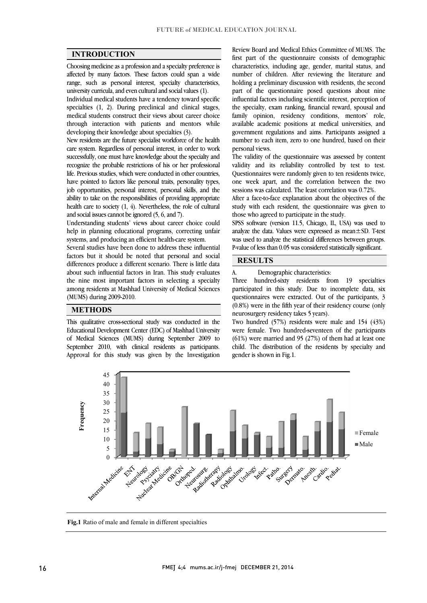$\overline{a}$  $\overline{a}$ 

# INTRODUCTION

 Choosing medicine as a profession and a specialty preference is affected by many factors. These factors could span a wide range, such as personal interest, specialty characteristics,<br>university curricula and even cultural and social values (1). university curricula, and even cultural and social values (1).

 Individual medical students have a tendency toward specific specialties (1, 2). During preclinical and clinical stages, medical students construct their views about career choice through interaction with patients and mentors while<br>developing their knowledge about specialties (3) developing their knowledge about specialties (3).

 New residents are the future specialist workforce of the health care system. Regardless of personal interest, in order to work successfully, one must have knowledge about the specialty and life. Previous studies, which were conducted in other countries, have pointed to factors like personal traits, personality types, job opportunities, personal interest, personal skills, and the ability to take on the responsibilities of providing appropriate<br>backle approximate  $(1, 4)$ . Negatively, the rate of primari health care to society  $(1, 4)$ . Nevertheless, the role of cultural and social issues cannot be ignored  $(5, 6, 30d, 7)$ recognize the probable restrictions of his or her professional and social issues cannot be ignored (5, 6, and 7).

 Understanding students' views about career choice could help in planning educational programs, correcting unfair systems, and producing an efficient health-care system.

 Several studies have been done to address these influential factors but it should be noted that personal and social differences produce a different scenario. There is little data about such influential factors in Iran. This study evaluates ֦֧֦֧֦֧֦֧֦֧֦֧֘֝֝<br>֧֪֪֪֦֧֦֧֦֧֦֧֦֧֦֧֝ the nine most important factors in selecting a specialty among residents at Mashhad University of Medical Sciences (MUMS) during 2009-2010.

# **METHODS**

 This qualitative cross-sectional study was conducted in the Educational Development Center (EDC) of Mashhad University of Medical Sciences (MUMS) during September 2009 to September 2010, with clinical residents as participants. Approval for this study was given by the Investigation

 first part of the questionnaire consists of demographic characteristics, including age, gender, marital status, and number of children. After reviewing the literature and part of the questionnaire posed questions about nine influential factors including scientific interest, perception of the specialty, exam ranking, financial reward, spousal and family opinion, residency conditions, mentors' role, government regulations and aims. Participants assigned a number to each item, zero to one hundred, based on their Review Board and Medical Ethics Committee of MUMS. The holding a preliminary discussion with residents, the second available academic positions at medical universities, and personal views.

 validity and its reliability controlled by test to test. Questionnaires were randomly given to ten residents twice, one week apart, and the correlation between the two The validity of the questionnaire was assessed by content sessions was calculated. The least correlation was 0.72%.

ייִ After a face-to-face explanation about the objectives of the study with each resident, the questionnaire was given to those who agreed to participate in the study.

 SPSS software (version 11.5, Chicago, IL, USA) was used to analyze the data. Values were expressed as mean±SD. T-test was used to analyze the statistical underefield steween groups<br>P-value of less than 0.05 was considered statistically significant. was used to analyze the statistical differences between groups.

 $\overline{a}$  $\overline{a}$ 

### RESULTS

 $\overline{\phantom{a}}$  $\overline{\phantom{a}}$ 

A. Demographic characteristics:

 Three hundred-sixty residents from 19 specialties participated in this study. Due to incomplete data, six questionnaires were extracted. Out of the participants, 3 (0.8%) were in the fifth year of their residency course (only neurosurgery residency takes 5 years).

neurosurgery residency takes 5 years).<br>Two hundred (57%) residents were male and 154 (43%) were female. Two hundred-seventeen of the participants (61%) were married and 95 (27%) of them had at least one child. The distribution of the residents by specialty and gender is shown in Fig.1.



j

Fig.1 Ratio of male and female in different specialties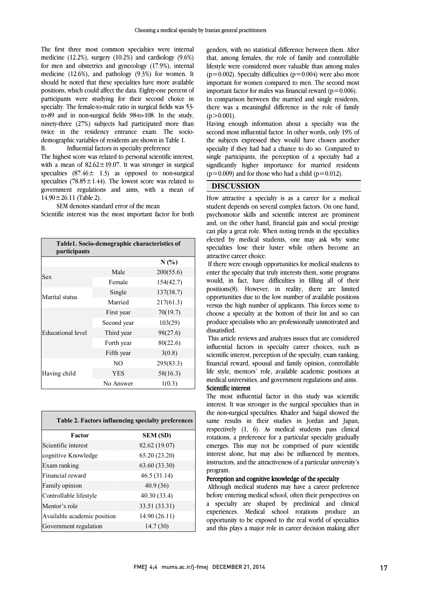The first three most common specialties were internal medicine (12.2%), surgery (10.2%) and cardiology (9.6%) for men and obstetrics and gynecology (17.9%), internal medicine (12.6%), and pathology (9.3%) for women. It positions, which could affect the data. Eighty-one percent of participants were studying for their second choice in specialty. The female-to-male ratio in surgical fields was 53- ninety-three (27%) subjects had participated more than twice in the residency entrance exam. The socioshould be noted that these specialties have more available to-89 and in non-surgical fields 98-to-108. In the study, demographic variables of residents are shown in Table 1. B. Influential factors in specialty preference

The mightest score was related to personal scientific interest,<br>with a mean of  $82.62 \pm 19.07$ . It was stronger in surgical specialties  $(87.46 \pm 1.3)$  as opposed to non-surgical specialties  $(78.85 \pm 1.44)$ . The lowest score was related to government regulations and aims, with a mean of The highest score was related to personal scientific interest,  $14.90 \pm 26.11$  (Table 2).

 Scientific interest was the most important factor for both SEM denotes standard error of the mean

| Table1. Socio-demographic characteristics of<br>participants |             |           |
|--------------------------------------------------------------|-------------|-----------|
|                                                              |             | N(%       |
| Sex                                                          | Male        | 200(55.6) |
|                                                              | Female      | 154(42.7) |
| Marital status                                               | Single      | 137(38.7) |
|                                                              | Married     | 217(61.3) |
| Educational level                                            | First year  | 70(19.7)  |
|                                                              | Second year | 103(29)   |
|                                                              | Third year  | 98(27.6)  |
|                                                              | Forth year  | 80(22.6)  |
|                                                              | Fifth year  | 3(0.8)    |
| Having child                                                 | NO          | 295(83.3) |
|                                                              | <b>YES</b>  | 58(16.3)  |
|                                                              | No Answer   | 1(0.3)    |

| Table 2. Factors influencing specialty preferences |                 |  |
|----------------------------------------------------|-----------------|--|
| Factor                                             | <b>SEM (SD)</b> |  |
| Scientific interest                                | 82.62 (19.07)   |  |
| cognitive Knowledge                                | 65.20 (23.20)   |  |
| Exam ranking                                       | 63.60 (33.30)   |  |
| Financial reward                                   | 46.5(31.14)     |  |
| Family opinion                                     | 40.9(36)        |  |
| Controllable lifestyle                             | 40.30 (33.4)    |  |
| Mentor's role                                      | 33.51 (33.31)   |  |
| Available academic position                        | 14.90 (26.11)   |  |
| Government regulation                              | 14.7(30)        |  |

 genders, with no statistical difference between them. After that, among females, the role of family and controllable lifestyle were considered more valuable than among males  $(p=0.002)$ . Specialty difficulties  $(p=0.004)$  were also more important for women compared to ment. The second most important factor for males was financial reward  $(p=0.006)$ . there was a meaningful difference in the role of family important for women compared to men. The second most In comparison between the married and single residents,  $(p>0.001)$ .

 Having enough information about a specialty was the second most influential factor. In other words, only 19% of the subjects expressed they would have chosen another specialty if they had had a chance to do so. Compared to single participants, the perception of a specially had a<br>significantly higher importance for married residents j single participants, the perception of a specialty had a  $(p=0.009)$  and for those who had a child  $(p=0.012)$ .

# DISCUSSION

j student depends on several complex factors. On one hand, psychomotor skills and scientific interest are prominent and, on the other hand, financial gain and social prestige can play a great role. When noting trends in the specialties specialties lose their luster while others become an How attractive a specialty is as a career for a medical elected by medical students, one may ask why some attractive career choice.

 If there were enough opportunities for medical students to enter the specialty that truly interests them, some programs positions(8). However, in reality, there are limited opportunities due to the low number of available positions versus the high number of applicants. This forces some to  $\mathbf{u}$  produce specialists who are professionally unmotivated and would, in fact, have difficulties in filling all of their choose a specialty at the bottom of their list and so can dissatisfied.

 This article reviews and analyzes issues that are considered influential factors in specialty career choices, such as scientific interest, perception of the specialty, exam familing,<br>financial reward, spousal and family opinion, controllable life style, mentors' role, available academic positions at medical universities, and government regulations and aims.<br>Scientific interest  $\overline{a}$ scientific interest, perception of the specialty, exam ranking,

interest. It was stronger in the surgical specialties than in the non-surgical specialties. Khader and Saigal showed the same results in their studies in Jordan and Japan, respectively (1, 6). As medical students pass clinical emerges. This may not be comprised of pure scientific interest alone, but may also be influenced by mentors, instructors, and the attractiveness of a particular university's The most influential factor in this study was scientific rotations, a preference for a particular specialty gradually program.

# Perception and cognitive knowledge of the specialty

 Although medical students may have a career preference before entering medical school, often their perspectives on a specialty are shaped by preclinical and clinical experiences. Medical school rotations produce an and this plays a major role in career decision making after opportunity to be exposed to the real world of specialties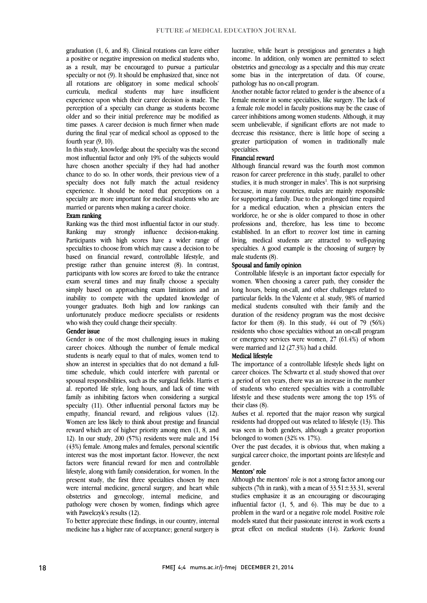graduation (1, 6, and 8). Clinical rotations can leave either  $a$  positive or negative impression on medical students who, as a result, may be encouraged to pursue a particular specialty or not (9). It should be emphasized that, since not an rotations are obigatory in some medical schools<br>curricula, medical students may have insufficient experience upon which their career decision is made. The perception of a specialty can change as students become older and so their initial preference may be modified as during the final year of medical school as opposed to the all rotations are obligatory in some medical schools' time passes. A career decision is much firmer when made fourth year (9, 10).

 In this study, knowledge about the specialty was the second most influential factor and only 19% of the subjects would chance to do so. In other words, their previous view of a specialty does not fully match the actual residency experience. It should be noted that perceptions on a specialty are more important for medical students who are have chosen another specialty if they had had another married or parents when making a career choice.

# Exam ranking

 Ranking was the third most influential factor in our study. Ranking may strongly influence decision-making. Participants with high scores have a wider range of based on financial reward, controllable lifestyle, and prestige rather than genuine interest (8). In contrast, participants with low scores are forced to take the entrance exam several times and may finally choose a specialty inability to compete with the updated knowledge of younger graduates. Both high and low rankings can unfortunately produce mediocre specialists or residents specialties to choose from which may cause a decision to be simply based on approaching exam limitations and an who wish they could change their specialty.

#### Gender issue

 Gender is one of the most challenging issues in making career choices. Although the number of female medical students is nearly equal to that of males, women tend to time schedule, which could interfere with parental or spousal responsibilities, such as the surgical fields. Harris et al. reported life style, long hours, and lack of time with family as inhibiting factors when considering a surgical empathy, financial reward, and religious values (12). Women are less likely to think about prestige and financial reward which are of higher priority among men (1, 8, and 12). In our study, 200  $(57%)$  residents were male and 154 interest was the most important factor. However, the next factors were financial reward for men and controllable lifestyle, along with family consideration, for women. In the present study, the first three specialties chosen by men obstetrics and gynecology, internal medicine, and pathology were chosen by women, findings which agree show an interest in specialties that do not demand a fullspecialty (11). Other influential personal factors may be (43%) female. Among males and females, personal scientific were internal medicine, general surgery, and heart while with Pawelczyk's results (12).

 medicine has a higher rate of acceptance; general surgery is To better appreciate these findings, in our country, internal

 lucrative, while heart is prestigious and generates a high income. In addition, only women are permitted to select obstetrics and gynecology as a specialty and this may create some bias in the interpretation of data. Of course, pathology has no on-call program.

 Another notable factor related to gender is the absence of a female mentor in some specialties, like surgery. The lack of a female role model in faculty positions may be the cause of career inhibitions among women students. Although, it may decrease this resistance, there is little hope of seeing a greater participation of women in traditionally male seem unbelievable, if significant efforts are not made to specialties.

#### Financial reward

reason for career preference in this study, parallel to other studies, it is much stronger in males<sup>1</sup>. This is not surprising because, in many countries, males are mainly responsible for supporting a family. Due to the prolonged time required workforce, he or she is older compared to those in other professions and, therefore, has less time to become established. In an effort to recover lost time in earning living, medical students are attracted to well-paying specialties. A good example is the choosing of surgery by male students  $(8)$ Although financial reward was the fourth most common for a medical education, when a physician enters the male students (8).

#### Spousal and family opinion

 Controllable lifestyle is an important factor especially for women. When choosing a career path, they consider the particular fields. In the Valente et al. study, 98% of married medical students consulted with their family and the duration of the residency program was the most decisive residents who chose specialties without an on-call program or emergency services were women, 27 (61.4%) of whom long hours, being on-call, and other challenges related to factor for them  $(8)$ . In this study,  $44$  out of 79 (56%) were married and 12 (27.3%) had a child.

# Medical lifestyle

 career choices. The Schwartz et al. study showed that over a period of ten years, there was an increase in the number of students who entered specialties with a controllable lifestyle and these students were among the top 15% of The importance of a controllable lifestyle sheds light on their class (8).

 Aufses et al. reported that the major reason why surgical residents had dropped out was related to lifestyle (13). This was seen in both genders, although a greater proportion belonged to women (32% vs. 17%).

belonged to women (32% vs. 1/%).<br>Over the past decades, it is obvious that, when making a surgical career choice, the important points are lifestyle and gender.

#### Mentors' role

Although the mentors' role is not a strong factor among our minimate  $(74)$  is not a strong f  $22.51 \pm 22.21$  strong l studies emphasize it as an encouraging or discouraging influential factor (1, 5, and 6). This may be due to a problem in the ward or a negative role model. Positive role models stated that their passionate interest in work exerts a<br>great effect on medical students (14). Zarkovic found subjects (7th in rank), with a mean of  $33.51 \pm 33.31$ , several models stated that their passionate interest in work exerts a